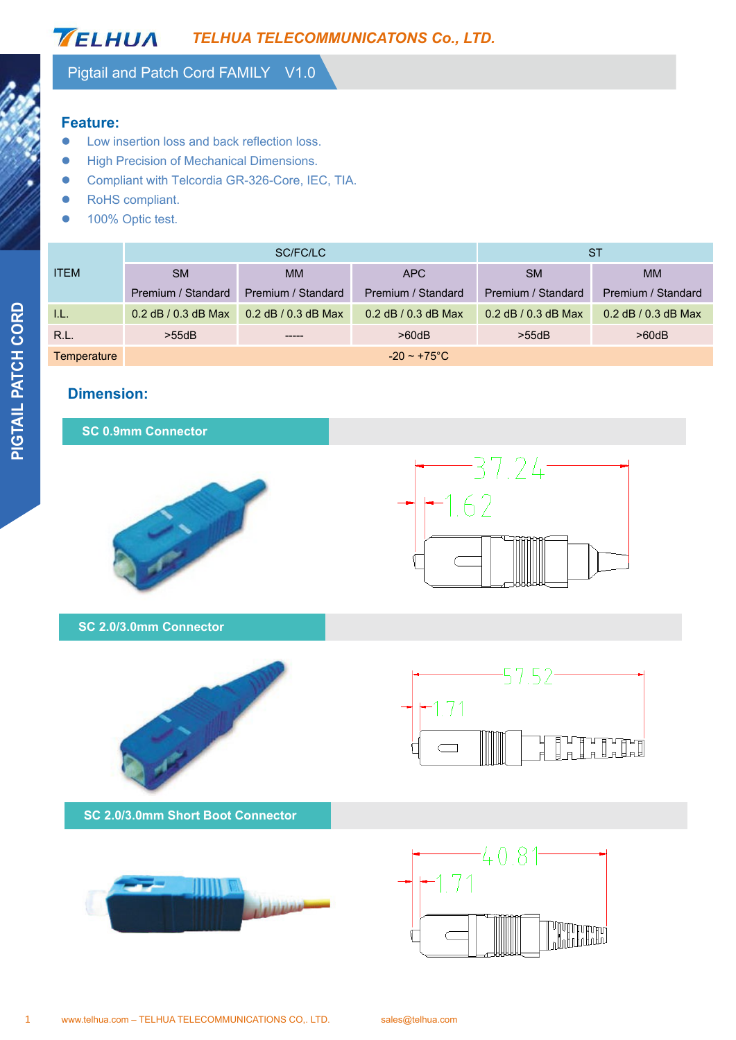#### and the Pigtail and Patch Cord FAMILY V1.0

### **Feature:**

- **•** Low insertion loss and back reflection loss.
- **High Precision of Mechanical Dimensions.**
- **•** Compliant with Telcordia GR-326-Core, IEC, TIA.
- **Compliant. •** RoHS compliant.
	- 100% Optic test.

| <b>Feature:</b> | Low insertion loss and back reflection loss.<br>High Precision of Mechanical Dimensions. |                                                             |                     |                     |                                           |  |
|-----------------|------------------------------------------------------------------------------------------|-------------------------------------------------------------|---------------------|---------------------|-------------------------------------------|--|
|                 | RoHS compliant.<br>100% Optic test.                                                      | Compliant with Telcordia GR-326-Core, IEC, TIA.<br>SC/FC/LC |                     |                     | <b>ST</b>                                 |  |
|                 |                                                                                          |                                                             |                     |                     | <b>MM</b>                                 |  |
| <b>ITEM</b>     | <b>SM</b>                                                                                | <b>MM</b>                                                   | <b>APC</b>          | <b>SM</b>           |                                           |  |
|                 | Premium / Standard                                                                       | Premium / Standard                                          | Premium / Standard  | Premium / Standard  |                                           |  |
| I.L.            | 0.2 dB / 0.3 dB Max                                                                      | 0.2 dB / 0.3 dB Max                                         | 0.2 dB / 0.3 dB Max | 0.2 dB / 0.3 dB Max | Premium / Standard<br>0.2 dB / 0.3 dB Max |  |
| R.L.            | >55dB                                                                                    |                                                             | >60dB               | >55dB               | >60dB                                     |  |

### **Dimension:**

### **SC 0.9mm Connector**





**SC 2.0/3.0mm Connector** 



**SC 2.0/3.0mm Short Boot Connector** 





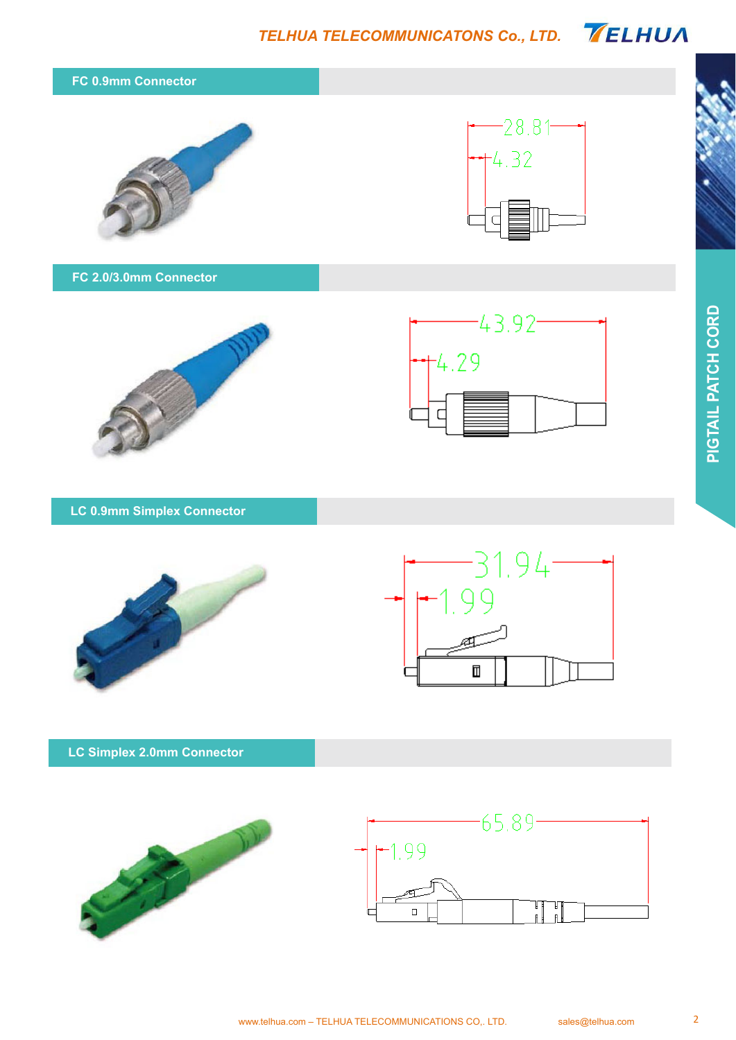*TELHUA TELECOMMUNICATONS Co., LTD.* 



**LC 0.9mm Simplex Connector** 





### **LC Simplex 2.0mm Connector**

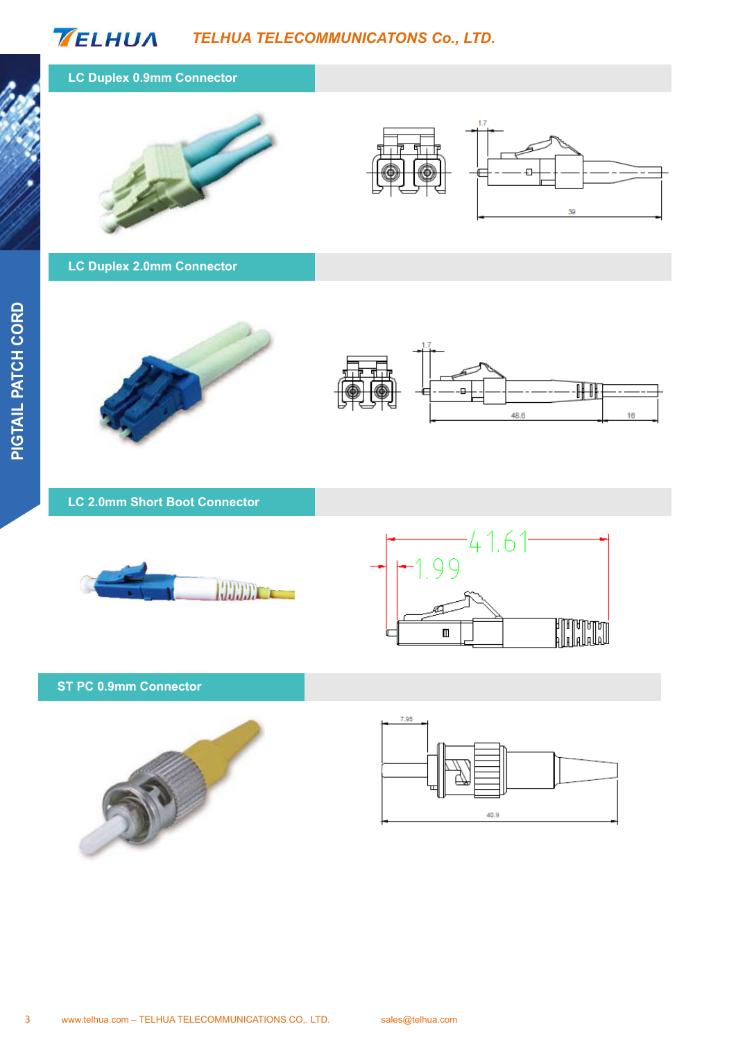# *TELHUA TELECOMMUNICATONS Co., LTD.*

### **LC Duplex 0.9mm Connector**





**LC Duplex 2.0mm Connector** 





**LC 2.0mm Short Boot Connector** 





#### **ST PC 0.9mm Connector**



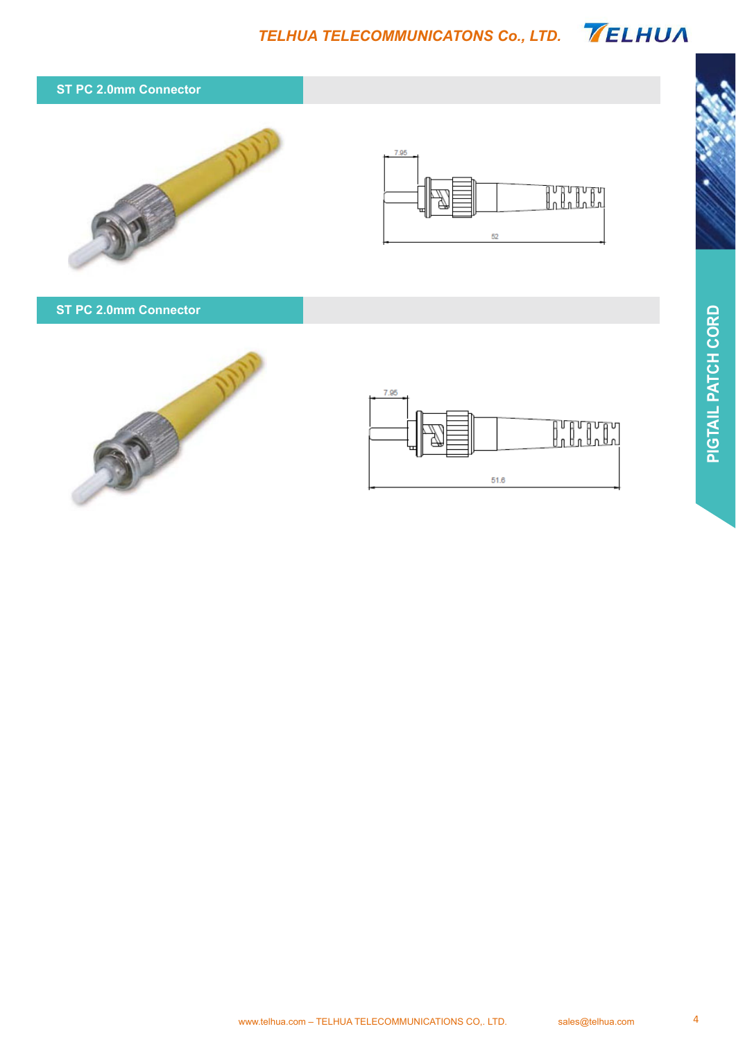